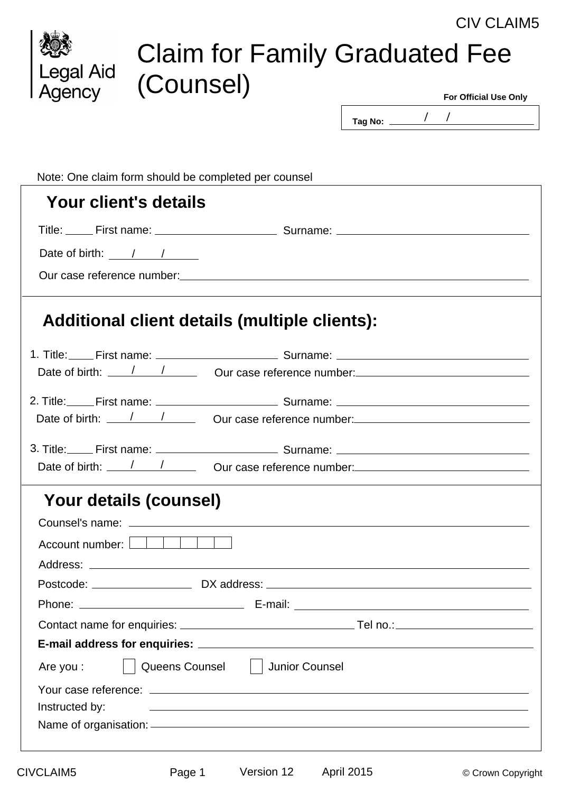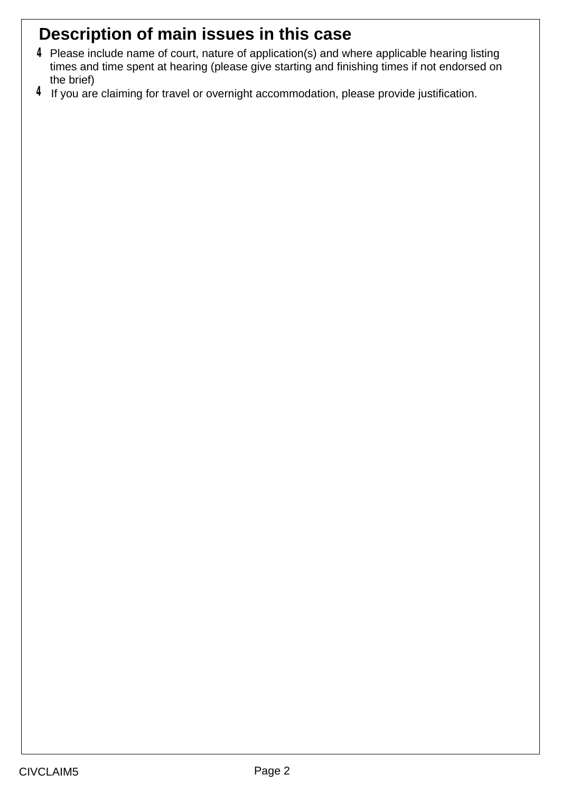# **Description of main issues in this case**

- Please include name of court, nature of application(s) and where applicable hearing listing **4** times and time spent at hearing (please give starting and finishing times if not endorsed on the brief)
- $4$  If you are claiming for travel or overnight accommodation, please provide justification.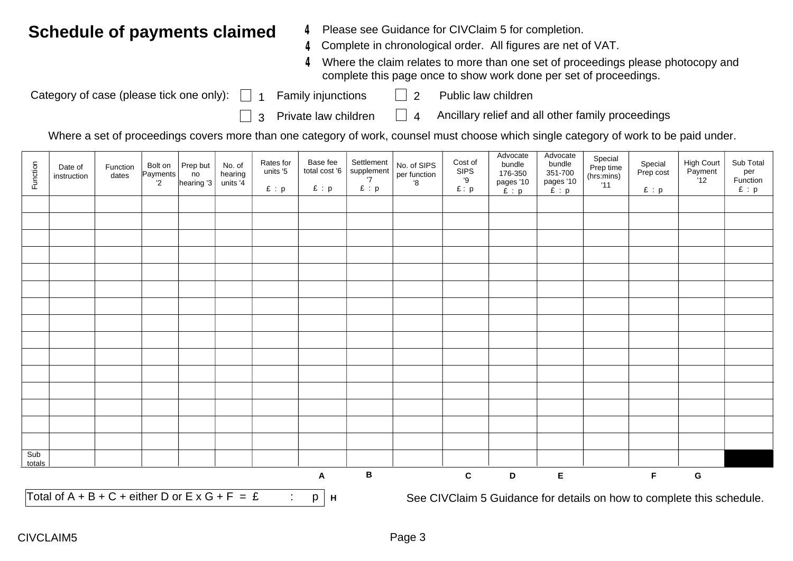#### **Schedule of payments claimed**

- **4** Please see Guidance for CIVClaim 5 for completion.
- Complete in chronological order. All figures are net of VAT. **4**
- Where the claim relates to more than one set of proceedings please photocopy and **4** complete this page once to show work done per set of proceedings.

Category of case (please tick one only):

- 1 Family injunctions 2 Public law children
	-
- $\Box$  3 Private law children  $\Box$  4
	- Ancillary relief and all other family proceedings

Where a set of proceedings covers more than one category of work, counsel must choose which single category of work to be paid under.

| Function      | Date of<br>instruction                                  | Function<br>dates | Bolt on<br>Payments<br>$2^{\circ}$ | Prep but<br>no<br>hearing '3 | No. of<br>hearing<br>units '4 | Rates for<br>units '5<br>E : p | Base fee<br>total cost '6<br>E : p | Settlement<br>supplement<br>'7<br>E : p | No. of SIPS<br>per function<br>'8 | Cost of<br><b>SIPS</b><br>'9<br>E: p | Advocate<br>bundle<br>176-350<br>pages '10<br>$E$ : $p$               | Advocate<br>bundle<br>351-700<br>pages '10<br>£ : p | Special<br>Prep time<br>(hrs:mins)<br>'11 | Special<br>Prep cost<br>E : p | <b>High Court</b><br>Payment<br>12 | Sub Total<br>per<br>Function<br>E : p |
|---------------|---------------------------------------------------------|-------------------|------------------------------------|------------------------------|-------------------------------|--------------------------------|------------------------------------|-----------------------------------------|-----------------------------------|--------------------------------------|-----------------------------------------------------------------------|-----------------------------------------------------|-------------------------------------------|-------------------------------|------------------------------------|---------------------------------------|
|               |                                                         |                   |                                    |                              |                               |                                |                                    |                                         |                                   |                                      |                                                                       |                                                     |                                           |                               |                                    |                                       |
|               |                                                         |                   |                                    |                              |                               |                                |                                    |                                         |                                   |                                      |                                                                       |                                                     |                                           |                               |                                    |                                       |
|               |                                                         |                   |                                    |                              |                               |                                |                                    |                                         |                                   |                                      |                                                                       |                                                     |                                           |                               |                                    |                                       |
|               |                                                         |                   |                                    |                              |                               |                                |                                    |                                         |                                   |                                      |                                                                       |                                                     |                                           |                               |                                    |                                       |
|               |                                                         |                   |                                    |                              |                               |                                |                                    |                                         |                                   |                                      |                                                                       |                                                     |                                           |                               |                                    |                                       |
|               |                                                         |                   |                                    |                              |                               |                                |                                    |                                         |                                   |                                      |                                                                       |                                                     |                                           |                               |                                    |                                       |
|               |                                                         |                   |                                    |                              |                               |                                |                                    |                                         |                                   |                                      |                                                                       |                                                     |                                           |                               |                                    |                                       |
|               |                                                         |                   |                                    |                              |                               |                                |                                    |                                         |                                   |                                      |                                                                       |                                                     |                                           |                               |                                    |                                       |
|               |                                                         |                   |                                    |                              |                               |                                |                                    |                                         |                                   |                                      |                                                                       |                                                     |                                           |                               |                                    |                                       |
|               |                                                         |                   |                                    |                              |                               |                                |                                    |                                         |                                   |                                      |                                                                       |                                                     |                                           |                               |                                    |                                       |
|               |                                                         |                   |                                    |                              |                               |                                |                                    |                                         |                                   |                                      |                                                                       |                                                     |                                           |                               |                                    |                                       |
|               |                                                         |                   |                                    |                              |                               |                                |                                    |                                         |                                   |                                      |                                                                       |                                                     |                                           |                               |                                    |                                       |
|               |                                                         |                   |                                    |                              |                               |                                |                                    |                                         |                                   |                                      |                                                                       |                                                     |                                           |                               |                                    |                                       |
|               |                                                         |                   |                                    |                              |                               |                                |                                    |                                         |                                   |                                      |                                                                       |                                                     |                                           |                               |                                    |                                       |
|               |                                                         |                   |                                    |                              |                               |                                |                                    |                                         |                                   |                                      |                                                                       |                                                     |                                           |                               |                                    |                                       |
|               |                                                         |                   |                                    |                              |                               |                                |                                    |                                         |                                   |                                      |                                                                       |                                                     |                                           |                               |                                    |                                       |
| Sub<br>totals |                                                         |                   |                                    |                              |                               |                                |                                    |                                         |                                   |                                      |                                                                       |                                                     |                                           |                               |                                    |                                       |
|               |                                                         |                   |                                    |                              |                               |                                | $\boldsymbol{\mathsf{A}}$          | $\, {\bf B}$                            |                                   | $\mathbf{C}$                         | D                                                                     | $\mathsf E$                                         |                                           | $\mathsf F$                   | G                                  |                                       |
|               | Total of $A + B + C +$ either D or $E \times G + F = E$ |                   |                                    |                              |                               | $\sim 100$                     | p<br>H                             |                                         |                                   |                                      | See CIVClaim 5 Guidance for details on how to complete this schedule. |                                                     |                                           |                               |                                    |                                       |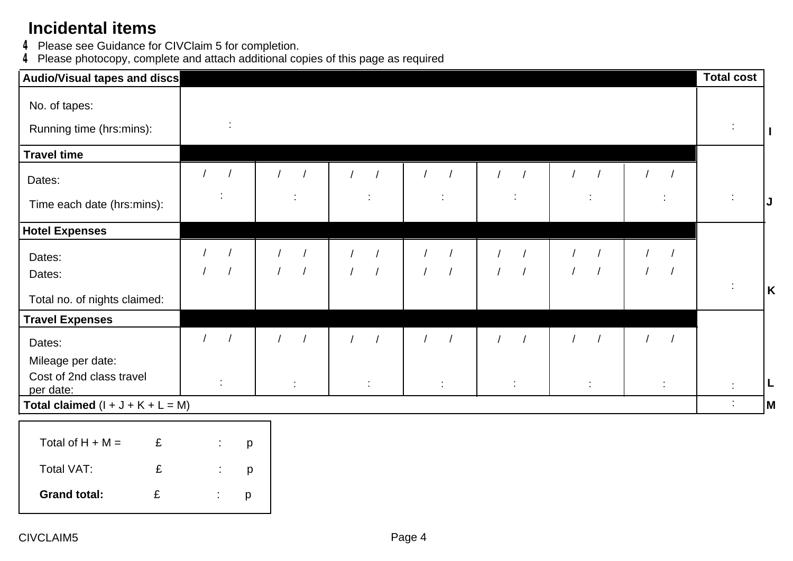## **Incidental items**

**4** Please see Guidance for CIVClaim 5 for completion.

Please photocopy, complete and attach additional copies of this page as required **4**

| Audio/Visual tapes and discs              |           |            |    |   |            |            |            |            |                |                          |            |                          |  |            | <b>Total cost</b>    |              |
|-------------------------------------------|-----------|------------|----|---|------------|------------|------------|------------|----------------|--------------------------|------------|--------------------------|--|------------|----------------------|--------------|
| No. of tapes:<br>Running time (hrs:mins): |           |            | ÷  |   |            |            |            |            |                |                          |            |                          |  |            |                      | $\mathbf{I}$ |
| <b>Travel time</b>                        |           |            |    |   |            |            |            |            |                |                          |            |                          |  |            |                      |              |
| Dates:                                    |           | $\sqrt{ }$ |    |   |            |            |            |            |                | $\sqrt{ }$               |            |                          |  |            |                      |              |
| Time each date (hrs:mins):                |           |            |    |   | ÷          |            |            |            |                | ÷                        |            |                          |  |            | ÷                    | IJ           |
| <b>Hotel Expenses</b>                     |           |            |    |   |            |            |            |            |                |                          |            |                          |  |            |                      |              |
| Dates:<br>Dates:                          |           |            |    |   | $\sqrt{ }$ | $\sqrt{ }$ | $\sqrt{2}$ | $\sqrt{ }$ | $\overline{1}$ | $\sqrt{2}$<br>$\sqrt{ }$ | $\sqrt{ }$ | $\sqrt{2}$<br>$\sqrt{2}$ |  | $\sqrt{2}$ |                      |              |
| Total no. of nights claimed:              |           |            |    |   |            |            |            |            |                |                          |            |                          |  |            | $\ddot{\phantom{a}}$ | $\mathsf{K}$ |
| <b>Travel Expenses</b>                    |           |            |    |   |            |            |            |            |                |                          |            |                          |  |            |                      |              |
| Dates:                                    |           |            |    |   |            | $\sqrt{ }$ |            |            |                | $\sqrt{ }$               |            |                          |  |            |                      |              |
| Mileage per date:                         |           |            |    |   |            |            |            |            |                |                          |            |                          |  |            |                      |              |
| Cost of 2nd class travel<br>per date:     |           |            |    |   | ÷          |            | ÷          | ÷.         |                | ÷                        |            | ÷                        |  | ÷          | ÷                    | L            |
| Total claimed $(I + J + K + L = M)$       |           |            |    |   |            |            |            |            |                |                          |            |                          |  |            | ÷                    | M            |
| Total of $H + M =$                        | £         |            |    | p |            |            |            |            |                |                          |            |                          |  |            |                      |              |
|                                           |           |            |    |   |            |            |            |            |                |                          |            |                          |  |            |                      |              |
| Total VAT:                                | £         |            |    | p |            |            |            |            |                |                          |            |                          |  |            |                      |              |
| <b>Grand total:</b>                       | $\pounds$ |            | ÷. | p |            |            |            |            |                |                          |            |                          |  |            |                      |              |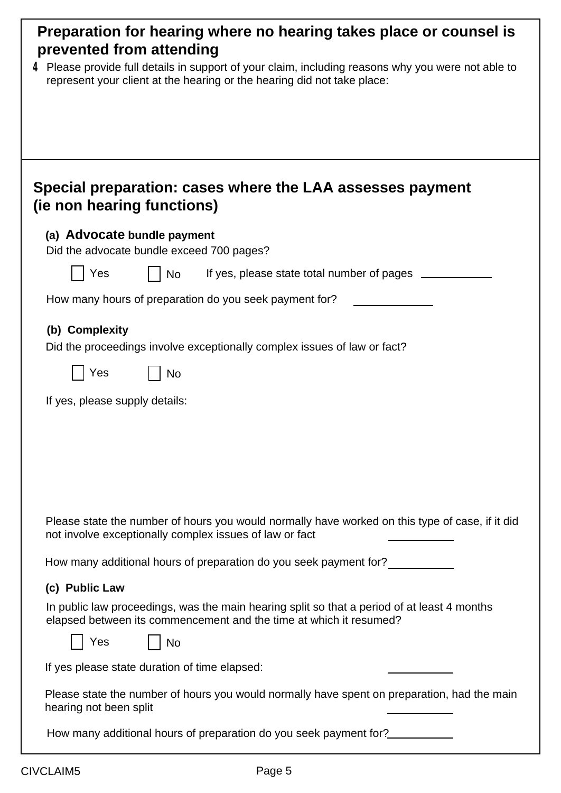| Preparation for hearing where no hearing takes place or counsel is<br>prevented from attending                                                                                  |
|---------------------------------------------------------------------------------------------------------------------------------------------------------------------------------|
| $4$ Please provide full details in support of your claim, including reasons why you were not able to<br>represent your client at the hearing or the hearing did not take place: |
|                                                                                                                                                                                 |
|                                                                                                                                                                                 |
|                                                                                                                                                                                 |
| Special preparation: cases where the LAA assesses payment<br>(ie non hearing functions)                                                                                         |
| (a) Advocate bundle payment                                                                                                                                                     |
| Did the advocate bundle exceed 700 pages?                                                                                                                                       |
| Yes<br>If yes, please state total number of pages ______<br>No                                                                                                                  |
| How many hours of preparation do you seek payment for?                                                                                                                          |
| (b) Complexity<br>Did the proceedings involve exceptionally complex issues of law or fact?                                                                                      |
| Yes<br>No                                                                                                                                                                       |
| If yes, please supply details:                                                                                                                                                  |
|                                                                                                                                                                                 |
|                                                                                                                                                                                 |
|                                                                                                                                                                                 |
|                                                                                                                                                                                 |
| Please state the number of hours you would normally have worked on this type of case, if it did<br>not involve exceptionally complex issues of law or fact                      |
| How many additional hours of preparation do you seek payment for?                                                                                                               |
| (c) Public Law                                                                                                                                                                  |
| In public law proceedings, was the main hearing split so that a period of at least 4 months<br>elapsed between its commencement and the time at which it resumed?               |
| Yes<br><b>No</b>                                                                                                                                                                |
| If yes please state duration of time elapsed:                                                                                                                                   |
| Please state the number of hours you would normally have spent on preparation, had the main<br>hearing not been split                                                           |
| How many additional hours of preparation do you seek payment for?                                                                                                               |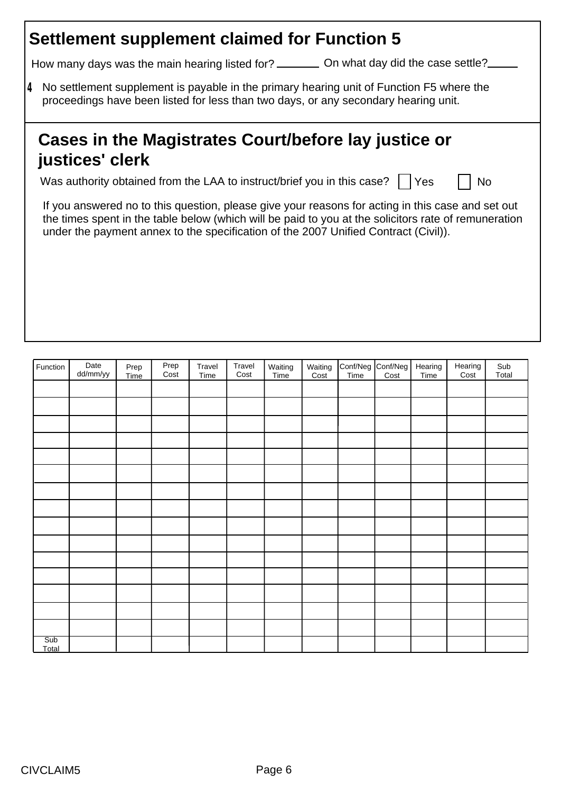#### **Settlement supplement claimed for Function 5**

How many days was the main hearing listed for? \_\_\_\_\_\_\_\_ On what day did the case settle?

No settlement supplement is payable in the primary hearing unit of Function F5 where the **4** proceedings have been listed for less than two days, or any secondary hearing unit.

## **Cases in the Magistrates Court/before lay justice or justices' clerk**

Was authority obtained from the LAA to instruct/brief you in this case?  $\Box$  Yes  $\Box$  No

If you answered no to this question, please give your reasons for acting in this case and set out the times spent in the table below (which will be paid to you at the solicitors rate of remuneration under the payment annex to the specification of the 2007 Unified Contract (Civil)).

| Function     | Date<br>dd/mm/yy | Prep<br>Time | Prep<br>Cost | Travel<br>Time | Travel<br>Cost | Waiting<br>Time | Waiting<br>Cost | Conf/Neg Conf/Neg<br>Time Cost | Hearing<br>Time | Hearing<br>Cost | Sub<br>Total |
|--------------|------------------|--------------|--------------|----------------|----------------|-----------------|-----------------|--------------------------------|-----------------|-----------------|--------------|
|              |                  |              |              |                |                |                 |                 |                                |                 |                 |              |
|              |                  |              |              |                |                |                 |                 |                                |                 |                 |              |
|              |                  |              |              |                |                |                 |                 |                                |                 |                 |              |
|              |                  |              |              |                |                |                 |                 |                                |                 |                 |              |
|              |                  |              |              |                |                |                 |                 |                                |                 |                 |              |
|              |                  |              |              |                |                |                 |                 |                                |                 |                 |              |
|              |                  |              |              |                |                |                 |                 |                                |                 |                 |              |
|              |                  |              |              |                |                |                 |                 |                                |                 |                 |              |
|              |                  |              |              |                |                |                 |                 |                                |                 |                 |              |
|              |                  |              |              |                |                |                 |                 |                                |                 |                 |              |
|              |                  |              |              |                |                |                 |                 |                                |                 |                 |              |
|              |                  |              |              |                |                |                 |                 |                                |                 |                 |              |
|              |                  |              |              |                |                |                 |                 |                                |                 |                 |              |
|              |                  |              |              |                |                |                 |                 |                                |                 |                 |              |
|              |                  |              |              |                |                |                 |                 |                                |                 |                 |              |
| Sub<br>Total |                  |              |              |                |                |                 |                 |                                |                 |                 |              |